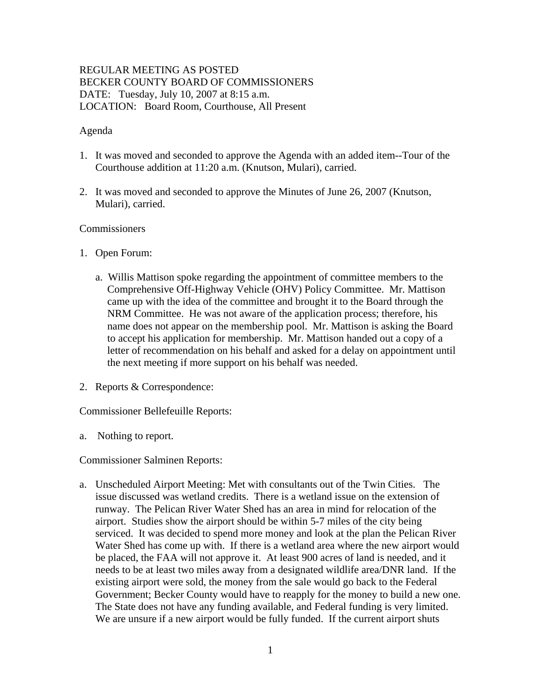# REGULAR MEETING AS POSTED BECKER COUNTY BOARD OF COMMISSIONERS DATE: Tuesday, July 10, 2007 at 8:15 a.m. LOCATION: Board Room, Courthouse, All Present

## Agenda

- 1. It was moved and seconded to approve the Agenda with an added item--Tour of the Courthouse addition at 11:20 a.m. (Knutson, Mulari), carried.
- 2. It was moved and seconded to approve the Minutes of June 26, 2007 (Knutson, Mulari), carried.

#### **Commissioners**

- 1. Open Forum:
	- a. Willis Mattison spoke regarding the appointment of committee members to the Comprehensive Off-Highway Vehicle (OHV) Policy Committee. Mr. Mattison came up with the idea of the committee and brought it to the Board through the NRM Committee. He was not aware of the application process; therefore, his name does not appear on the membership pool. Mr. Mattison is asking the Board to accept his application for membership. Mr. Mattison handed out a copy of a letter of recommendation on his behalf and asked for a delay on appointment until the next meeting if more support on his behalf was needed.
- 2. Reports & Correspondence:

Commissioner Bellefeuille Reports:

a. Nothing to report.

Commissioner Salminen Reports:

a. Unscheduled Airport Meeting: Met with consultants out of the Twin Cities. The issue discussed was wetland credits. There is a wetland issue on the extension of runway. The Pelican River Water Shed has an area in mind for relocation of the airport. Studies show the airport should be within 5-7 miles of the city being serviced. It was decided to spend more money and look at the plan the Pelican River Water Shed has come up with. If there is a wetland area where the new airport would be placed, the FAA will not approve it. At least 900 acres of land is needed, and it needs to be at least two miles away from a designated wildlife area/DNR land. If the existing airport were sold, the money from the sale would go back to the Federal Government; Becker County would have to reapply for the money to build a new one. The State does not have any funding available, and Federal funding is very limited. We are unsure if a new airport would be fully funded. If the current airport shuts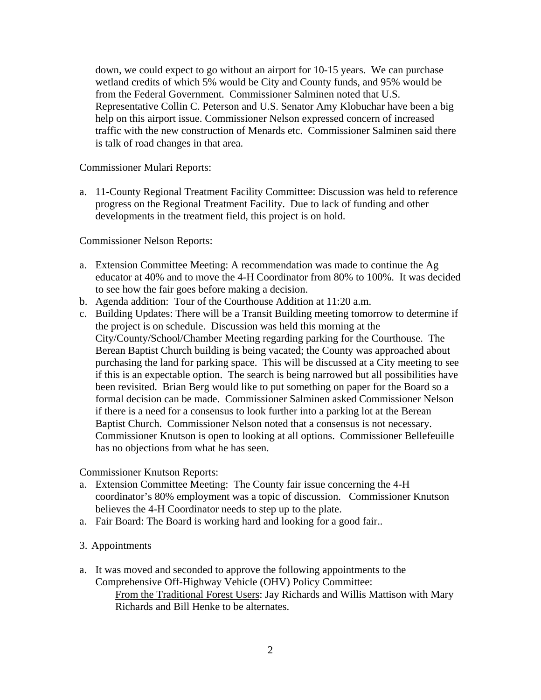down, we could expect to go without an airport for 10-15 years. We can purchase wetland credits of which 5% would be City and County funds, and 95% would be from the Federal Government. Commissioner Salminen noted that U.S. Representative Collin C. Peterson and U.S. Senator Amy Klobuchar have been a big help on this airport issue. Commissioner Nelson expressed concern of increased traffic with the new construction of Menards etc. Commissioner Salminen said there is talk of road changes in that area.

Commissioner Mulari Reports:

a. 11-County Regional Treatment Facility Committee: Discussion was held to reference progress on the Regional Treatment Facility. Due to lack of funding and other developments in the treatment field, this project is on hold.

Commissioner Nelson Reports:

- a. Extension Committee Meeting: A recommendation was made to continue the Ag educator at 40% and to move the 4-H Coordinator from 80% to 100%. It was decided to see how the fair goes before making a decision.
- b. Agenda addition: Tour of the Courthouse Addition at 11:20 a.m.
- c. Building Updates: There will be a Transit Building meeting tomorrow to determine if the project is on schedule. Discussion was held this morning at the City/County/School/Chamber Meeting regarding parking for the Courthouse. The Berean Baptist Church building is being vacated; the County was approached about purchasing the land for parking space. This will be discussed at a City meeting to see if this is an expectable option. The search is being narrowed but all possibilities have been revisited. Brian Berg would like to put something on paper for the Board so a formal decision can be made. Commissioner Salminen asked Commissioner Nelson if there is a need for a consensus to look further into a parking lot at the Berean Baptist Church. Commissioner Nelson noted that a consensus is not necessary. Commissioner Knutson is open to looking at all options. Commissioner Bellefeuille has no objections from what he has seen.

Commissioner Knutson Reports:

- a. Extension Committee Meeting: The County fair issue concerning the 4-H coordinator's 80% employment was a topic of discussion. Commissioner Knutson believes the 4-H Coordinator needs to step up to the plate.
- a. Fair Board: The Board is working hard and looking for a good fair..

#### 3. Appointments

a. It was moved and seconded to approve the following appointments to the Comprehensive Off-Highway Vehicle (OHV) Policy Committee: From the Traditional Forest Users: Jay Richards and Willis Mattison with Mary Richards and Bill Henke to be alternates.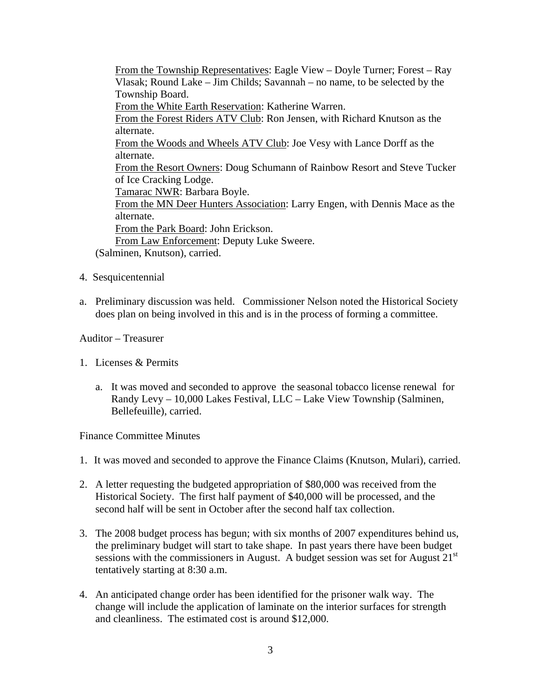From the Township Representatives: Eagle View – Doyle Turner; Forest – Ray Vlasak; Round Lake – Jim Childs; Savannah – no name, to be selected by the Township Board. From the White Earth Reservation: Katherine Warren. From the Forest Riders ATV Club: Ron Jensen, with Richard Knutson as the alternate. From the Woods and Wheels ATV Club: Joe Vesy with Lance Dorff as the alternate. From the Resort Owners: Doug Schumann of Rainbow Resort and Steve Tucker of Ice Cracking Lodge. Tamarac NWR: Barbara Boyle. From the MN Deer Hunters Association: Larry Engen, with Dennis Mace as the alternate. From the Park Board: John Erickson. From Law Enforcement: Deputy Luke Sweere.

(Salminen, Knutson), carried.

- 4. Sesquicentennial
- a. Preliminary discussion was held. Commissioner Nelson noted the Historical Society does plan on being involved in this and is in the process of forming a committee.

## Auditor – Treasurer

- 1. Licenses & Permits
	- a. It was moved and seconded to approve the seasonal tobacco license renewal for Randy Levy – 10,000 Lakes Festival, LLC – Lake View Township (Salminen, Bellefeuille), carried.

#### Finance Committee Minutes

- 1. It was moved and seconded to approve the Finance Claims (Knutson, Mulari), carried.
- 2. A letter requesting the budgeted appropriation of \$80,000 was received from the Historical Society. The first half payment of \$40,000 will be processed, and the second half will be sent in October after the second half tax collection.
- 3. The 2008 budget process has begun; with six months of 2007 expenditures behind us, the preliminary budget will start to take shape. In past years there have been budget sessions with the commissioners in August. A budget session was set for August  $21<sup>st</sup>$ tentatively starting at 8:30 a.m.
- 4. An anticipated change order has been identified for the prisoner walk way. The change will include the application of laminate on the interior surfaces for strength and cleanliness. The estimated cost is around \$12,000.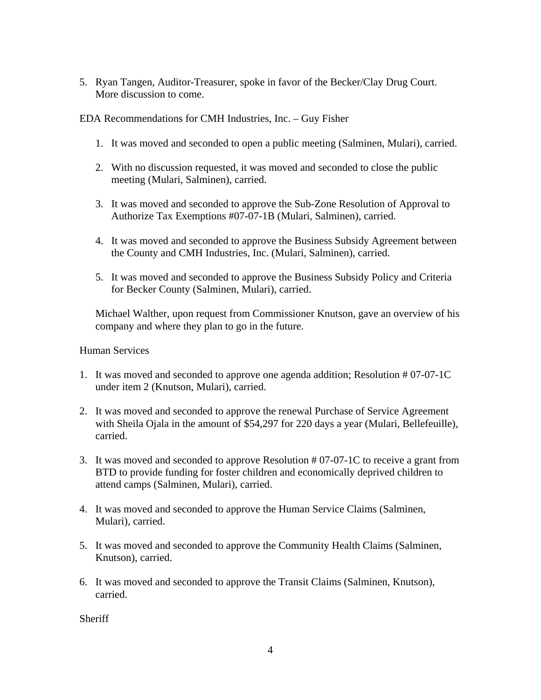5. Ryan Tangen, Auditor-Treasurer, spoke in favor of the Becker/Clay Drug Court. More discussion to come.

EDA Recommendations for CMH Industries, Inc. – Guy Fisher

- 1. It was moved and seconded to open a public meeting (Salminen, Mulari), carried.
- 2. With no discussion requested, it was moved and seconded to close the public meeting (Mulari, Salminen), carried.
- 3. It was moved and seconded to approve the Sub-Zone Resolution of Approval to Authorize Tax Exemptions #07-07-1B (Mulari, Salminen), carried.
- 4. It was moved and seconded to approve the Business Subsidy Agreement between the County and CMH Industries, Inc. (Mulari, Salminen), carried.
- 5. It was moved and seconded to approve the Business Subsidy Policy and Criteria for Becker County (Salminen, Mulari), carried.

Michael Walther, upon request from Commissioner Knutson, gave an overview of his company and where they plan to go in the future.

## Human Services

- 1. It was moved and seconded to approve one agenda addition; Resolution # 07-07-1C under item 2 (Knutson, Mulari), carried.
- 2. It was moved and seconded to approve the renewal Purchase of Service Agreement with Sheila Ojala in the amount of \$54,297 for 220 days a year (Mulari, Bellefeuille), carried.
- 3. It was moved and seconded to approve Resolution # 07-07-1C to receive a grant from BTD to provide funding for foster children and economically deprived children to attend camps (Salminen, Mulari), carried.
- 4. It was moved and seconded to approve the Human Service Claims (Salminen, Mulari), carried.
- 5. It was moved and seconded to approve the Community Health Claims (Salminen, Knutson), carried.
- 6. It was moved and seconded to approve the Transit Claims (Salminen, Knutson), carried.

**Sheriff**